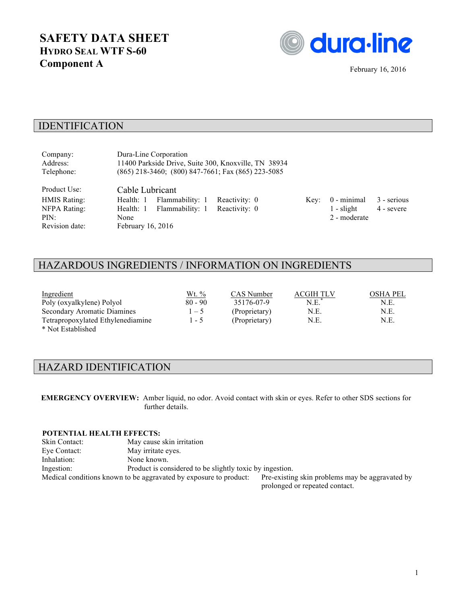# **SAFETY DATA SHEET HYDRO SEAL WTF S-60 Component A** February 16, 2016



### IDENTIFICATION

| Company:<br>Address:<br>Telephone:                                     | Dura-Line Corporation                                                                  |                 | 11400 Parkside Drive, Suite 300, Knoxville, TN 38934<br>(865) 218-3460; (800) 847-7661; Fax (865) 223-5085 |      |                                               |                           |
|------------------------------------------------------------------------|----------------------------------------------------------------------------------------|-----------------|------------------------------------------------------------------------------------------------------------|------|-----------------------------------------------|---------------------------|
| Product Use:<br>HMIS Rating:<br>NFPA Rating:<br>PIN:<br>Revision date: | Cable Lubricant<br>Health: 1<br>Health: 1 Flammability: 1<br>None<br>February 16, 2016 | Flammability: 1 | Reactivity: 0<br>Reactivity: 0                                                                             | Kev: | $0$ - minimal<br>$1$ - slight<br>2 - moderate | 3 - serious<br>4 - severe |

## HAZARDOUS INGREDIENTS / INFORMATION ON INGREDIENTS

| Ingredient                         | Wt. %     | CAS Number    | ACGIH TLV | <b>OSHA PEL</b> |
|------------------------------------|-----------|---------------|-----------|-----------------|
| Poly (oxyalkylene) Polyol          | $80 - 90$ | 35176-07-9    | N.E.      | N.E.            |
| <b>Secondary Aromatic Diamines</b> | $1 - 5$   | (Proprietary) | N.E.      | N.E.            |
| Tetrapropoxylated Ethylenediamine  | $1 - 5$   | (Proprietary) | N.E.      | N.E.            |
| $\star$ Met Established            |           |               |           |                 |

\* Not Established

### HAZARD IDENTIFICATION

**EMERGENCY OVERVIEW:** Amber liquid, no odor. Avoid contact with skin or eyes. Refer to other SDS sections for further details.

#### **POTENTIAL HEALTH EFFECTS:**

| Skin Contact: | May cause skin irritation                                         |                                                 |
|---------------|-------------------------------------------------------------------|-------------------------------------------------|
| Eve Contact:  | May irritate eyes.                                                |                                                 |
| Inhalation:   | None known.                                                       |                                                 |
| Ingestion:    | Product is considered to be slightly toxic by ingestion.          |                                                 |
|               | Medical conditions known to be aggravated by exposure to product: | Pre-existing skin problems may be aggravated by |
|               |                                                                   |                                                 |

prolonged or repeated contact.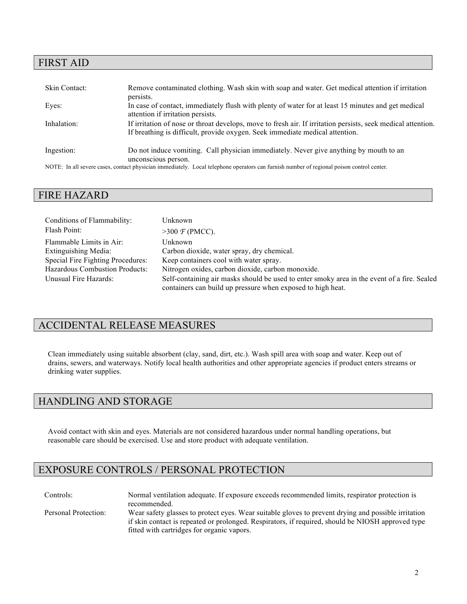### FIRST AID

| Skin Contact: | Remove contaminated clothing. Wash skin with soap and water. Get medical attention if irritation<br>persists.                                                                                |
|---------------|----------------------------------------------------------------------------------------------------------------------------------------------------------------------------------------------|
| Eyes:         | In case of contact, immediately flush with plenty of water for at least 15 minutes and get medical<br>attention if irritation persists.                                                      |
| Inhalation:   | If irritation of nose or throat develops, move to fresh air. If irritation persists, seek medical attention.<br>If breathing is difficult, provide oxygen. Seek immediate medical attention. |
| Ingestion:    | Do not induce vomiting. Call physician immediately. Never give anything by mouth to an<br>unconscious person.                                                                                |
|               |                                                                                                                                                                                              |

NOTE: In all severe cases, contact physician immediately. Local telephone operators can furnish number of regional poison control center.

#### FIRE HAZARD

| Conditions of Flammability:           | Unknown                                                                                                                                                    |
|---------------------------------------|------------------------------------------------------------------------------------------------------------------------------------------------------------|
| Flash Point:                          | $>300 \text{ } \mathcal{F}$ (PMCC).                                                                                                                        |
| Flammable Limits in Air:              | Unknown                                                                                                                                                    |
| Extinguishing Media:                  | Carbon dioxide, water spray, dry chemical.                                                                                                                 |
| Special Fire Fighting Procedures:     | Keep containers cool with water spray.                                                                                                                     |
| <b>Hazardous Combustion Products:</b> | Nitrogen oxides, carbon dioxide, carbon monoxide.                                                                                                          |
| Unusual Fire Hazards:                 | Self-containing air masks should be used to enter smoky area in the event of a fire. Sealed<br>containers can build up pressure when exposed to high heat. |

### ACCIDENTAL RELEASE MEASURES

Clean immediately using suitable absorbent (clay, sand, dirt, etc.). Wash spill area with soap and water. Keep out of drains, sewers, and waterways. Notify local health authorities and other appropriate agencies if product enters streams or drinking water supplies.

### HANDLING AND STORAGE

Avoid contact with skin and eyes. Materials are not considered hazardous under normal handling operations, but reasonable care should be exercised. Use and store product with adequate ventilation.

### EXPOSURE CONTROLS / PERSONAL PROTECTION

Controls: Normal ventilation adequate. If exposure exceeds recommended limits, respirator protection is recommended. Personal Protection: Wear safety glasses to protect eyes. Wear suitable gloves to prevent drying and possible irritation if skin contact is repeated or prolonged. Respirators, if required, should be NIOSH approved type fitted with cartridges for organic vapors.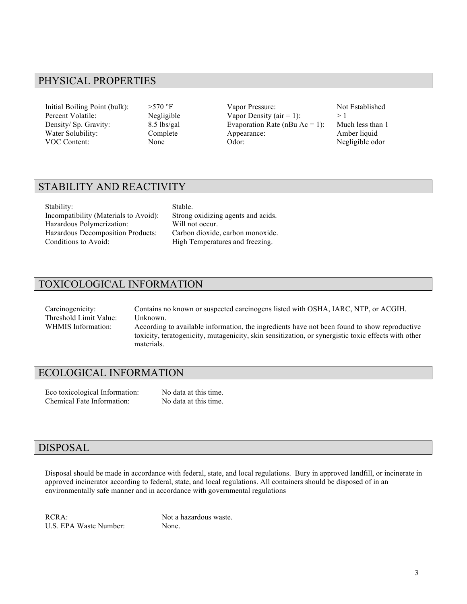### PHYSICAL PROPERTIES

Initial Boiling Point (bulk):  $>570$  °F Vapor Pressure: Not Established Percent Volatile: Negligible Vapor Density (air = 1): > 1 Density/ Sp. Gravity: 8.5 lbs/gal Evaporation Rate (nBu Ac = 1): Much less than 1 Water Solubility: Complete Appearance: Amber liquid VOC Content: None None Odor: Negligible odor

### STABILITY AND REACTIVITY

Stability: Stable. Incompatibility (Materials to Avoid): Strong oxidizing agents and acids. Hazardous Polymerization: Will not occur. Hazardous Decomposition Products: Carbon dioxide, carbon monoxide. Conditions to Avoid: High Temperatures and freezing.

### TOXICOLOGICAL INFORMATION

Carcinogenicity: Contains no known or suspected carcinogens listed with OSHA, IARC, NTP, or ACGIH. Threshold Limit Value: Unknown. WHMIS Information: According to available information, the ingredients have not been found to show reproductive toxicity, teratogenicity, mutagenicity, skin sensitization, or synergistic toxic effects with other materials.

#### ECOLOGICAL INFORMATION

Eco toxicological Information: No data at this time. Chemical Fate Information: No data at this time.

#### DISPOSAL

Disposal should be made in accordance with federal, state, and local regulations. Bury in approved landfill, or incinerate in approved incinerator according to federal, state, and local regulations. All containers should be disposed of in an environmentally safe manner and in accordance with governmental regulations

RCRA: Not a hazardous waste. U.S. EPA Waste Number: None.